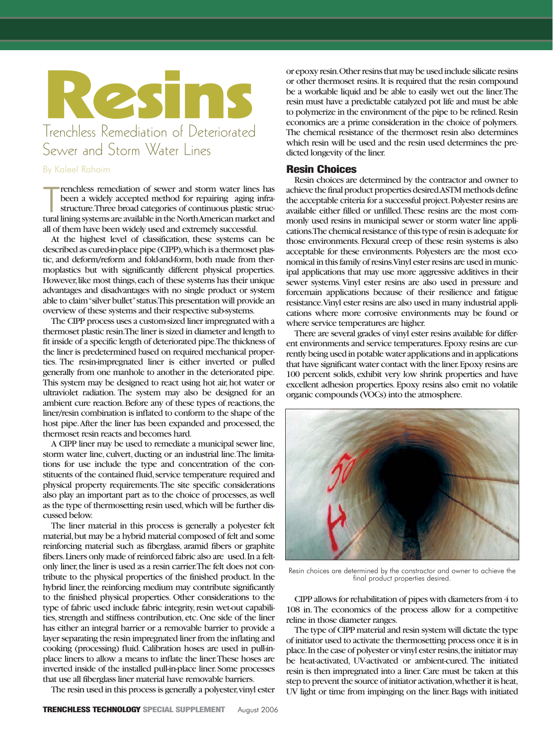

## By Kaleel Rahaim

The renchless remediation of sewer and storm water lines has<br>been a widely accepted method for repairing aging infra-<br>structure. Three broad categories of continuous plastic struc-<br>tural lining systems are available in the renchless remediation of sewer and storm water lines has been a widely accepted method for repairing aging infrastructure.Three broad categories of continuous plastic strucall of them have been widely used and extremely successful.

At the highest level of classification, these systems can be described as cured-in-place pipe (CIPP), which is a thermoset plastic, and deform/reform and fold-and-form, both made from thermoplastics but with significantly different physical properties. However, like most things, each of these systems has their unique advantages and disadvantages with no single product or system able to claim "silver bullet"status.This presentation will provide an overview of these systems and their respective sub-systems.

The CIPP process uses a custom-sized liner impregnated with a thermoset plastic resin.The liner is sized in diameter and length to fit inside of a specific length of deteriorated pipe.The thickness of the liner is predetermined based on required mechanical properties. The resin-impregnated liner is either inverted or pulled generally from one manhole to another in the deteriorated pipe. This system may be designed to react using hot air, hot water or ultraviolet radiation. The system may also be designed for an ambient cure reaction. Before any of these types of reactions, the liner/resin combination is inflated to conform to the shape of the host pipe.After the liner has been expanded and processed, the thermoset resin reacts and becomes hard.

A CIPP liner may be used to remediate a municipal sewer line, storm water line, culvert, ducting or an industrial line.The limitations for use include the type and concentration of the constituents of the contained fluid, service temperature required and physical property requirements.The site specific considerations also play an important part as to the choice of processes, as well as the type of thermosetting resin used,which will be further discussed below.

The liner material in this process is generally a polyester felt material,but may be a hybrid material composed of felt and some reinforcing material such as fiberglass, aramid fibers or graphite fibers.Liners only made of reinforced fabric also are used.In a feltonly liner, the liner is used as a resin carrier. The felt does not contribute to the physical properties of the finished product. In the hybrid liner, the reinforcing medium may contribute significantly to the finished physical properties. Other considerations to the type of fabric used include fabric integrity, resin wet-out capabilities, strength and stiffness contribution, etc. One side of the liner has either an integral barrier or a removable barrier to provide a layer separating the resin impregnated liner from the inflating and cooking (processing) fluid. Calibration hoses are used in pull-inplace liners to allow a means to inflate the liner.These hoses are inverted inside of the installed pull-in-place liner.Some processes that use all fiberglass liner material have removable barriers.

The resin used in this process is generally a polyester, vinyl ester

or epoxy resin.Other resins that may be used include silicate resins or other thermoset resins.It is required that the resin compound be a workable liquid and be able to easily wet out the liner.The resin must have a predictable catalyzed pot life and must be able to polymerize in the environment of the pipe to be relined.Resin economics are a prime consideration in the choice of polymers. The chemical resistance of the thermoset resin also determines which resin will be used and the resin used determines the predicted longevity of the liner.

## Resin Choices

Resin choices are determined by the contractor and owner to achieve the final product properties desired.ASTM methods define the acceptable criteria for a successful project.Polyester resins are available either filled or unfilled.These resins are the most commonly used resins in municipal sewer or storm water line applications.The chemical resistance of this type of resin is adequate for those environments.Flexural creep of these resin systems is also acceptable for these environments. Polyesters are the most economical in this family of resins.Vinyl ester resins are used in municipal applications that may use more aggressive additives in their sewer systems.Vinyl ester resins are also used in pressure and forcemain applications because of their resilience and fatigue resistance.Vinyl ester resins are also used in many industrial applications where more corrosive environments may be found or where service temperatures are higher.

There are several grades of vinyl ester resins available for different environments and service temperatures.Epoxy resins are currently being used in potable water applications and in applications that have significant water contact with the liner.Epoxy resins are 100 percent solids, exhibit very low shrink properties and have excellent adhesion properties. Epoxy resins also emit no volatile organic compounds (VOCs) into the atmosphere.



Resin choices are determined by the constractor and owner to achieve the final product properties desired.

CIPP allows for rehabilitation of pipes with diameters from 4 to 108 in.The economics of the process allow for a competitive reline in those diameter ranges.

The type of CIPP material and resin system will dictate the type of initiator used to activate the thermosetting process once it is in place.In the case of polyester or vinyl ester resins,the initiator may be heat-activated, UV-activated or ambient-cured. The initiated resin is then impregnated into a liner.Care must be taken at this step to prevent the source of initiator activation,whether it is heat, UV light or time from impinging on the liner.Bags with initiated